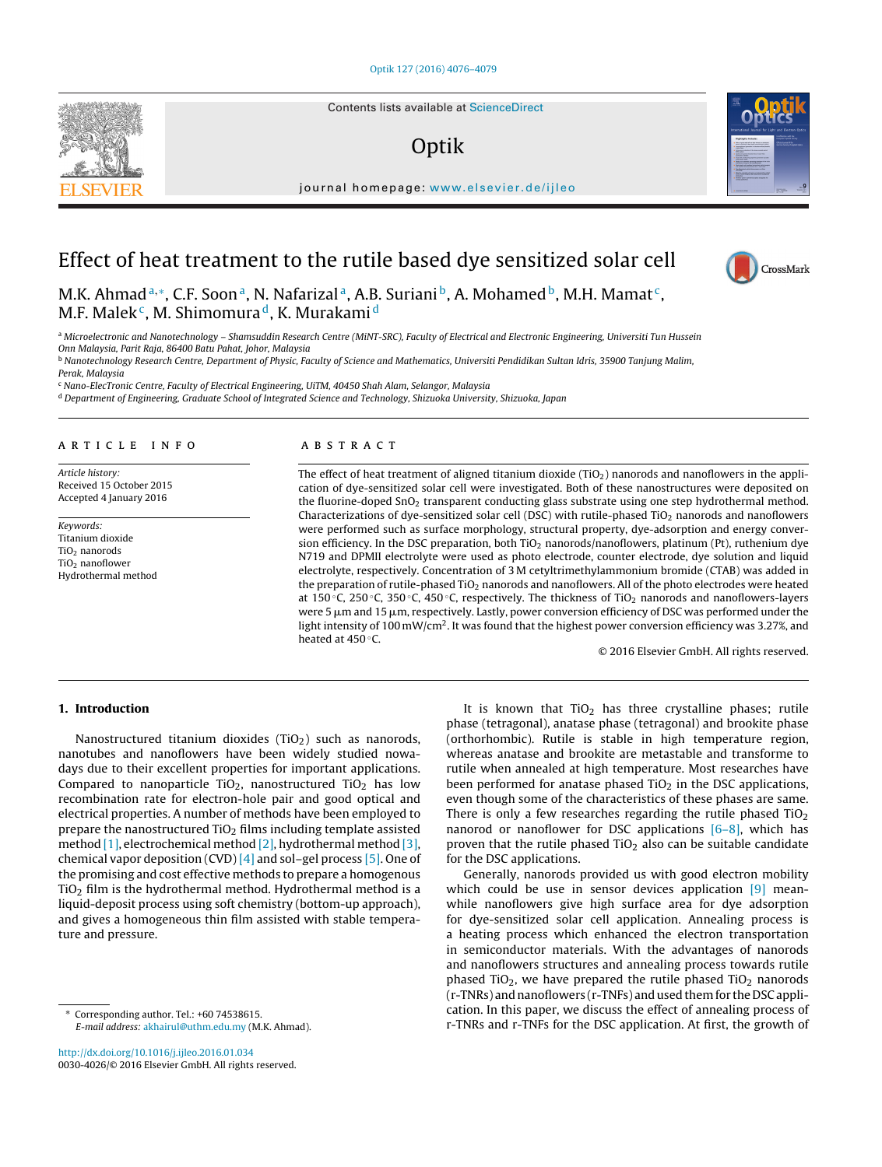Contents lists available at [ScienceDirect](http://www.sciencedirect.com/science/journal/00304026)

## Optik



iournal homepage: [www.elsevier.de/ijleo](http://www.elsevier.de/ijleo)

# Effect of heat treatment to the rutile based dye sensitized solar cell

M.K. Ahmad<sup>a,\*</sup>, C.F. Soon<sup>a</sup>, N. Nafarizal<sup>a</sup>, A.B. Suriani<sup>b</sup>, A. Mohamed<sup>b</sup>, M.H. Mamat<sup>c</sup>, M.F. Malek<sup>c</sup>, M. Shimomura<sup>d</sup>, K. Murakami<sup>d</sup>

a Microelectronic and Nanotechnology - Shamsuddin Research Centre (MiNT-SRC), Faculty of Electrical and Electronic Engineering, Universiti Tun Hussein

Onn Malaysia, Parit Raja, 86400 Batu Pahat, Johor, Malaysia

**b Nanotechnology Research Centre, Department of Physic, Faculty of Science and Mathematics, Universiti Pendidikan Sultan Idris, 35900 Tanjung Malim,** Perak, Malaysia

<sup>c</sup> Nano-ElecTronic Centre, Faculty of Electrical Engineering, UiTM, 40450 Shah Alam, Selangor, Malaysia

<sup>d</sup> Department of Engineering, Graduate School of Integrated Science and Technology, Shizuoka University, Shizuoka, Japan

#### a r t i c l e i n f o

Article history: Received 15 October 2015 Accepted 4 January 2016

Keywords: Titanium dioxide TiO<sub>2</sub> nanorods TiO2 nanoflower Hydrothermal method

## A B S T R A C T

The effect of heat treatment of aligned titanium dioxide  $(TiO<sub>2</sub>)$  nanorods and nanoflowers in the application of dye-sensitized solar cell were investigated. Both of these nanostructures were deposited on the fluorine-doped  $SnO<sub>2</sub>$  transparent conducting glass substrate using one step hydrothermal method. Characterizations of dye-sensitized solar cell (DSC) with rutile-phased TiO<sub>2</sub> nanorods and nanoflowers were performed such as surface morphology, structural property, dye-adsorption and energy conversion efficiency. In the DSC preparation, both TiO<sub>2</sub> nanorods/nanoflowers, platinum (Pt), ruthenium dye N719 and DPMII electrolyte were used as photo electrode, counter electrode, dye solution and liquid electrolyte, respectively. Concentration of 3 M cetyltrimethylammonium bromide (CTAB) was added in the preparation of rutile-phased TiO<sub>2</sub> nanorods and nanoflowers. All of the photo electrodes were heated at 150 °C, 250 °C, 350 °C, 450 °C, respectively. The thickness of TiO<sub>2</sub> nanorods and nanoflowers-layers were 5  $\mu$ m and 15  $\mu$ m, respectively. Lastly, power conversion efficiency of DSC was performed under the light intensity of 100 mW/cm<sup>2</sup>. It was found that the highest power conversion efficiency was 3.27%, and heated at 450 °C.

© 2016 Elsevier GmbH. All rights reserved.

## **1. Introduction**

Nanostructured titanium dioxides (TiO<sub>2</sub>) such as nanorods, nanotubes and nanoflowers have been widely studied nowadays due to their excellent properties for important applications. Compared to nanoparticle TiO<sub>2</sub>, nanostructured TiO<sub>2</sub> has low recombination rate for electron-hole pair and good optical and electrical properties. A number of methods have been employed to prepare the nanostructured  $TiO<sub>2</sub>$  films including template assisted method [\[1\],](#page-3-0) electrochemical method [\[2\],](#page-3-0) hydrothermal method [\[3\],](#page-3-0) chemical vapor deposition (CVD)  $[4]$  and sol-gel process  $[5]$ . One of the promising and cost effective methods to prepare a homogenous  $TiO<sub>2</sub>$  film is the hydrothermal method. Hydrothermal method is a liquid-deposit process using soft chemistry (bottom-up approach), and gives a homogeneous thin film assisted with stable temperature and pressure.

∗ Corresponding author. Tel.: +60 74538615. E-mail address: [akhairul@uthm.edu.my](mailto:akhairul@uthm.edu.my) (M.K. Ahmad).

[http://dx.doi.org/10.1016/j.ijleo.2016.01.034](dx.doi.org/10.1016/j.ijleo.2016.01.034) 0030-4026/© 2016 Elsevier GmbH. All rights reserved.

It is known that  $TiO<sub>2</sub>$  has three crystalline phases; rutile phase (tetragonal), anatase phase (tetragonal) and brookite phase (orthorhombic). Rutile is stable in high temperature region, whereas anatase and brookite are metastable and transforme to rutile when annealed at high temperature. Most researches have been performed for anatase phased  $TiO<sub>2</sub>$  in the DSC applications, even though some of the characteristics of these phases are same. There is only a few researches regarding the rutile phased  $TiO<sub>2</sub>$ nanorod or nanoflower for DSC applications  $[6-8]$ , which has proven that the rutile phased  $TiO<sub>2</sub>$  also can be suitable candidate for the DSC applications.

Generally, nanorods provided us with good electron mobility which could be use in sensor devices application [\[9\]](#page-3-0) meanwhile nanoflowers give high surface area for dye adsorption for dye-sensitized solar cell application. Annealing process is a heating process which enhanced the electron transportation in semiconductor materials. With the advantages of nanorods and nanoflowers structures and annealing process towards rutile phased TiO<sub>2</sub>, we have prepared the rutile phased TiO<sub>2</sub> nanorods (r-TNRs) and nanoflowers (r-TNFs) and used them for the DSC application. In this paper, we discuss the effect of annealing process of r-TNRs and r-TNFs for the DSC application. At first, the growth of



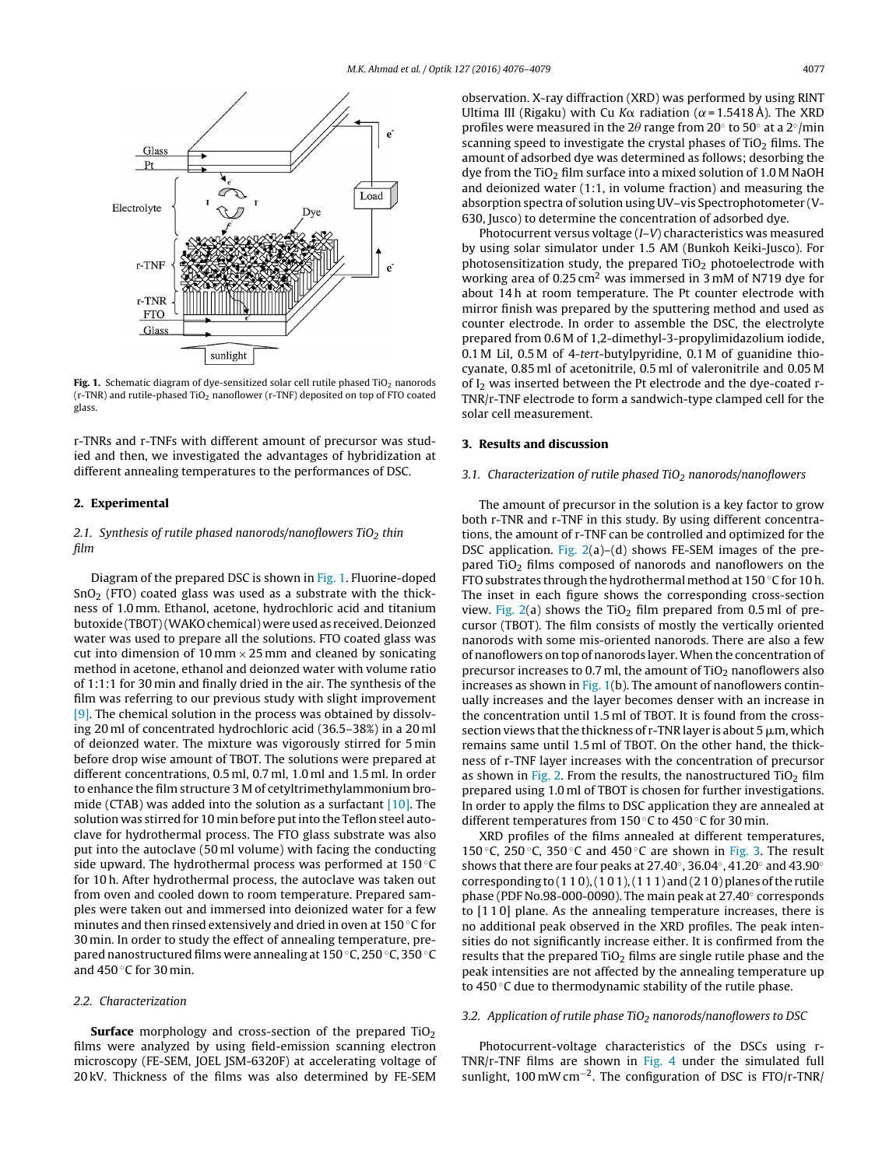

**Fig. 1.** Schematic diagram of dye-sensitized solar cell rutile phased TiO<sub>2</sub> nanorods (r-TNR) and rutile-phased TiO2 nanoflower (r-TNF) deposited on top of FTO coated glass.

r-TNRs and r-TNFs with different amount of precursor was studied and then, we investigated the advantages of hybridization at different annealing temperatures to the performances of DSC.

## **2. Experimental**

## 2.1. Synthesis of rutile phased nanorods/nanoflowers  $TiO<sub>2</sub>$  thin film

Diagram of the prepared DSC is shown in Fig. 1. Fluorine-doped  $SnO<sub>2</sub>$  (FTO) coated glass was used as a substrate with the thickness of 1.0 mm. Ethanol, acetone, hydrochloric acid and titanium butoxide (TBOT)(WAKO chemical) were used as received. Deionzed water was used to prepare all the solutions. FTO coated glass was cut into dimension of 10 mm  $\times$  25 mm and cleaned by sonicating method in acetone, ethanol and deionzed water with volume ratio of 1:1:1 for 30 min and finally dried in the air. The synthesis of the film was referring to our previous study with slight improvement [\[9\].](#page-3-0) The chemical solution in the process was obtained by dissolving 20 ml of concentrated hydrochloric acid (36.5–38%) in a 20 ml of deionzed water. The mixture was vigorously stirred for 5 min before drop wise amount of TBOT. The solutions were prepared at different concentrations, 0.5 ml, 0.7 ml, 1.0 ml and 1.5 ml. In order to enhance the film structure 3 M of cetyltrimethylammonium bromide (CTAB) was added into the solution as a surfactant [\[10\].](#page-3-0) The solution was stirred for 10 min before putinto the Teflon steel autoclave for hydrothermal process. The FTO glass substrate was also put into the autoclave (50 ml volume) with facing the conducting side upward. The hydrothermal process was performed at 150 °C for 10 h. After hydrothermal process, the autoclave was taken out from oven and cooled down to room temperature. Prepared samples were taken out and immersed into deionized water for a few minutes and then rinsed extensively and dried in oven at 150 ◦C for 30 min. In order to study the effect of annealing temperature, prepared nanostructured films were annealing at 150 ◦C, 250 ◦C, 350 ◦C and 450 $\degree$ C for 30 min.

#### 2.2. Characterization

**Surface** morphology and cross-section of the prepared TiO<sub>2</sub> films were analyzed by using field-emission scanning electron microscopy (FE-SEM, JOEL JSM-6320F) at accelerating voltage of 20 kV. Thickness of the films was also determined by FE-SEM

observation. X-ray diffraction (XRD) was performed by using RINT Ultima III (Rigaku) with Cu K $\alpha$  radiation ( $\alpha$  = 1.5418 Å). The XRD profiles were measured in the 2 $\theta$  range from 20 $^{\circ}$  to 50 $^{\circ}$  at a 2 $^{\circ}/$ min scanning speed to investigate the crystal phases of  $TiO<sub>2</sub>$  films. The amount of adsorbed dye was determined as follows; desorbing the dye from the TiO<sub>2</sub> film surface into a mixed solution of 1.0 M NaOH and deionized water (1:1, in volume fraction) and measuring the absorption spectra of solution using UV–vis Spectrophotometer (V-630, Jusco) to determine the concentration of adsorbed dye.

Photocurrent versus voltage (I–V) characteristics was measured by using solar simulator under 1.5 AM (Bunkoh Keiki-Jusco). For photosensitization study, the prepared  $TiO<sub>2</sub>$  photoelectrode with working area of 0.25 cm2 was immersed in 3 mM of N719 dye for about 14h at room temperature. The Pt counter electrode with mirror finish was prepared by the sputtering method and used as counter electrode. In order to assemble the DSC, the electrolyte prepared from 0.6 M of 1,2-dimethyl-3-propylimidazolium iodide, 0.1 M LiI, 0.5 M of 4-tert-butylpyridine, 0.1 M of guanidine thiocyanate, 0.85 ml of acetonitrile, 0.5 ml of valeronitrile and 0.05 M of I<sub>2</sub> was inserted between the Pt electrode and the dye-coated r-TNR/r-TNF electrode to form a sandwich-type clamped cell for the solar cell measurement.

#### **3. Results and discussion**

## 3.1. Characterization of rutile phased TiO<sub>2</sub> nanorods/nanoflowers

The amount of precursor in the solution is a key factor to grow both r-TNR and r-TNF in this study. By using different concentrations, the amount of r-TNF can be controlled and optimized for the DSC application. [Fig.](#page-2-0) 2(a)–(d) shows FE-SEM images of the prepared TiO<sub>2</sub> films composed of nanorods and nanoflowers on the FTO substrates through the hydrothermalmethod at 150 ◦C for 10 h. The inset in each figure shows the corresponding cross-section view. [Fig.](#page-2-0)  $2(a)$  shows the TiO<sub>2</sub> film prepared from 0.5 ml of precursor (TBOT). The film consists of mostly the vertically oriented nanorods with some mis-oriented nanorods. There are also a few of nanoflowers on top of nanorods layer.When the concentration of precursor increases to 0.7 ml, the amount of  $TiO<sub>2</sub>$  nanoflowers also increases as shown in Fig.  $1(b)$ . The amount of nanoflowers continually increases and the layer becomes denser with an increase in the concentration until 1.5 ml of TBOT. It is found from the crosssection views that the thickness of r-TNR layer is about 5  $\mu$ m, which remains same until 1.5 ml of TBOT. On the other hand, the thickness of r-TNF layer increases with the concentration of precursor as shown in [Fig.](#page-2-0) 2. From the results, the nanostructured  $TiO<sub>2</sub> film$ prepared using 1.0 ml of TBOT is chosen for further investigations. In order to apply the films to DSC application they are annealed at different temperatures from 150 ◦C to 450 ◦C for 30 min.

XRD profiles of the films annealed at different temperatures, 150 °C, 250 °C, 350 °C and 450 °C are shown in [Fig.](#page-2-0) 3. The result shows that there are four peaks at 27.40◦, 36.04◦, 41.20◦ and 43.90◦ corresponding to  $(1 1 0)$ ,  $(1 0 1)$ ,  $(1 1 1)$  and  $(2 1 0)$  planes of the rutile phase (PDF No.98-000-0090). The main peak at 27.40◦ corresponds to [1 1 0] plane. As the annealing temperature increases, there is no additional peak observed in the XRD profiles. The peak intensities do not significantly increase either. It is confirmed from the results that the prepared  $TiO<sub>2</sub>$  films are single rutile phase and the peak intensities are not affected by the annealing temperature up to 450 ◦C due to thermodynamic stability of the rutile phase.

## 3.2. Application of rutile phase TiO<sub>2</sub> nanorods/nanoflowers to DSC

Photocurrent-voltage characteristics of the DSCs using r-TNR/r-TNF films are shown in [Fig.](#page-2-0) 4 under the simulated full sunlight, 100 mWcm−2. The configuration of DSC is FTO/r-TNR/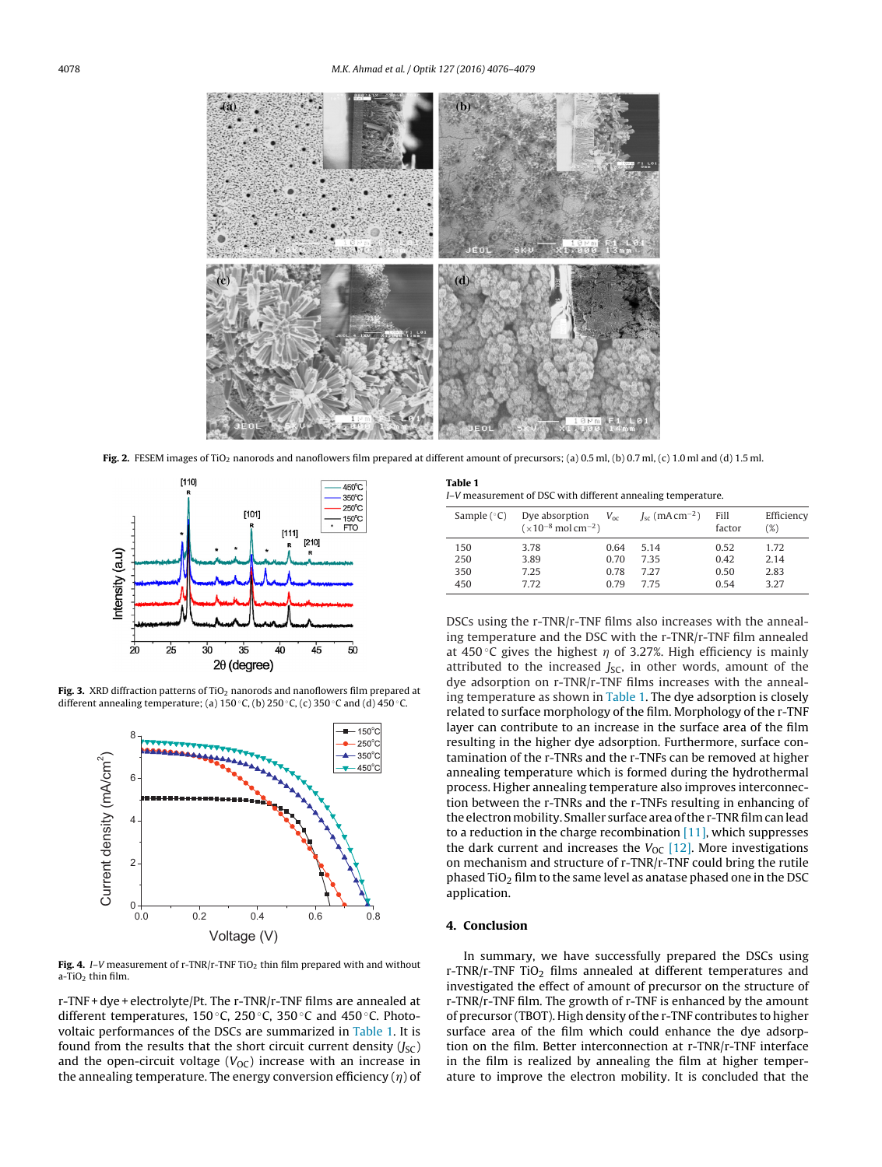<span id="page-2-0"></span>

Fig. 2. FESEM images of TiO<sub>2</sub> nanorods and nanoflowers film prepared at different amount of precursors; (a) 0.5 ml, (b) 0.7 ml, (c) 1.0 ml and (d) 1.5 ml.



**Fig. 3.** XRD diffraction patterns of TiO<sub>2</sub> nanorods and nanoflowers film prepared at different annealing temperature; (a) 150 °C, (b) 250 °C, (c) 350 °C and (d) 450 °C.



**Fig. 4.** I–V measurement of r-TNR/r-TNF TiO<sub>2</sub> thin film prepared with and without  $a$ -TiO<sub>2</sub> thin film.

r-TNF + dye + electrolyte/Pt. The r-TNR/r-TNF films are annealed at different temperatures, 150 ◦C, 250 ◦C, 350 ◦C and 450 ◦C. Photovoltaic performances of the DSCs are summarized in Table 1. It is found from the results that the short circuit current density  $(J<sub>SC</sub>)$ and the open-circuit voltage ( $V_{OC}$ ) increase with an increase in the annealing temperature. The energy conversion efficiency  $(\eta)$  of

| Table 1 |                                                              |
|---------|--------------------------------------------------------------|
|         | I-V measurement of DSC with different annealing temperature. |

| Sample $(^{\circ}C)$ | Dye absorption<br>$(x10^{-8} \text{ mol cm}^{-2})$ | $V_{\alpha c}$ | $J_{\rm sc}$ (mA cm <sup>-2</sup> ) | Fill<br>factor | Efficiency<br>(%) |
|----------------------|----------------------------------------------------|----------------|-------------------------------------|----------------|-------------------|
| 150                  | 3.78                                               | 0.64           | 5.14                                | 0.52           | 1.72              |
| 250                  | 3.89                                               | 0.70           | 7.35                                | 0.42           | 2.14              |
| 350                  | 7.25                                               | 0.78           | 7.27                                | 0.50           | 2.83              |
| 450                  | 7.72                                               | 0.79           | 775                                 | 0.54           | 3.27              |

DSCs using the r-TNR/r-TNF films also increases with the annealing temperature and the DSC with the r-TNR/r-TNF film annealed at 450 °C gives the highest  $\eta$  of 3.27%. High efficiency is mainly attributed to the increased  $J_{SC}$ , in other words, amount of the dye adsorption on r-TNR/r-TNF films increases with the annealing temperature as shown in Table 1. The dye adsorption is closely related to surface morphology of the film. Morphology of the r-TNF layer can contribute to an increase in the surface area of the film resulting in the higher dye adsorption. Furthermore, surface contamination of the r-TNRs and the r-TNFs can be removed at higher annealing temperature which is formed during the hydrothermal process. Higher annealing temperature also improves interconnection between the r-TNRs and the r-TNFs resulting in enhancing of the electron mobility. Smaller surface area of the r-TNR film can lead to a reduction in the charge recombination  $[11]$ , which suppresses the dark current and increases the  $V_{OC}$  [\[12\].](#page-3-0) More investigations on mechanism and structure of r-TNR/r-TNF could bring the rutile phased  $TiO<sub>2</sub>$  film to the same level as anatase phased one in the DSC application.

## **4. Conclusion**

In summary, we have successfully prepared the DSCs using  $r$ -TNR/r-TNF TiO<sub>2</sub> films annealed at different temperatures and investigated the effect of amount of precursor on the structure of r-TNR/r-TNF film. The growth of r-TNF is enhanced by the amount of precursor (TBOT). High density of the r-TNF contributes to higher surface area of the film which could enhance the dye adsorption on the film. Better interconnection at r-TNR/r-TNF interface in the film is realized by annealing the film at higher temperature to improve the electron mobility. It is concluded that the